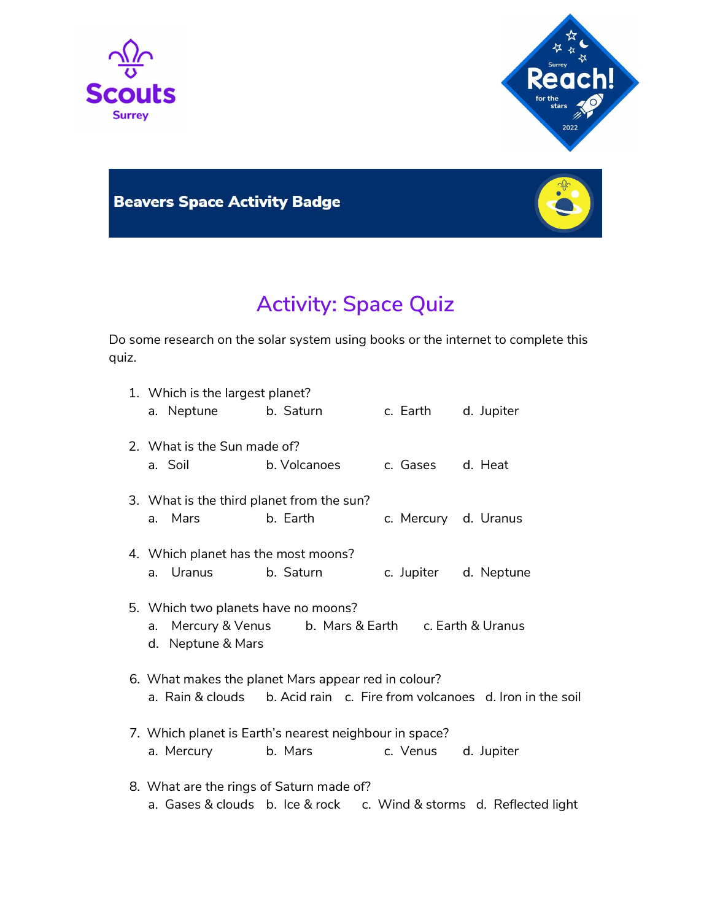



## **Beavers Space Activity Badge**



## Activity: Space Quiz

Do some research on the solar system using books or the internet to complete this quiz.

|  | 1. Which is the largest planet?            |                                                        |                                   |                                                                          |
|--|--------------------------------------------|--------------------------------------------------------|-----------------------------------|--------------------------------------------------------------------------|
|  | a. Neptune b. Saturn                       |                                                        | c. Earth                          | d. Jupiter                                                               |
|  | 2. What is the Sun made of?                |                                                        |                                   |                                                                          |
|  | a. Soil                                    | b. Volcanoes                                           | c. Gases                          | d. Heat                                                                  |
|  | 3. What is the third planet from the sun?  |                                                        |                                   |                                                                          |
|  | a. Mars                                    | b. Earth                                               | c. Mercury d. Uranus              |                                                                          |
|  | 4. Which planet has the most moons?        |                                                        |                                   |                                                                          |
|  | a. Uranus                                  | b. Saturn                                              |                                   | c. Jupiter d. Neptune                                                    |
|  | 5. Which two planets have no moons?        |                                                        |                                   |                                                                          |
|  | Mercury & Venus<br>a.<br>d. Neptune & Mars |                                                        | b. Mars & Earth c. Earth & Uranus |                                                                          |
|  |                                            | 6. What makes the planet Mars appear red in colour?    |                                   |                                                                          |
|  |                                            |                                                        |                                   | a. Rain & clouds b. Acid rain c. Fire from volcanoes d. Iron in the soil |
|  |                                            | 7. Which planet is Earth's nearest neighbour in space? |                                   |                                                                          |
|  | a. Mercury                                 | b. Mars                                                | c. Venus                          | d. Jupiter                                                               |
|  | 8. What are the rings of Saturn made of?   |                                                        |                                   |                                                                          |
|  | a. Gases & clouds b. Ice & rock            |                                                        |                                   | c. Wind & storms d. Reflected light                                      |